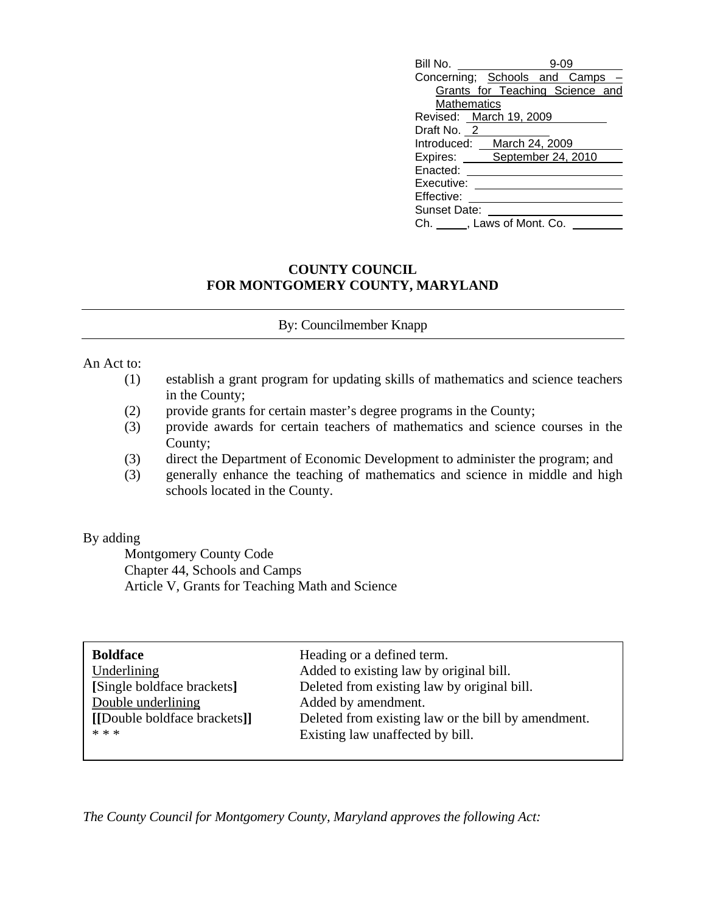| Bill No.                      |                                 |  |  |
|-------------------------------|---------------------------------|--|--|
| Concerning; Schools and Camps |                                 |  |  |
|                               | Grants for Teaching Science and |  |  |
| Mathematics                   |                                 |  |  |
| Revised: March 19, 2009       |                                 |  |  |
| Draft No. 2                   |                                 |  |  |
| Introduced:                   | March 24, 2009                  |  |  |
| Expires: September 24, 2010   |                                 |  |  |
| Enacted:                      |                                 |  |  |
| Executive:                    |                                 |  |  |
| Effective:                    |                                 |  |  |
| Sunset Date:                  |                                 |  |  |
| Ch. , Laws of Mont. Co.       |                                 |  |  |

## **COUNTY COUNCIL FOR MONTGOMERY COUNTY, MARYLAND**

## By: Councilmember Knapp

## An Act to:

- (1) establish a grant program for updating skills of mathematics and science teachers in the County;
- (2) provide grants for certain master's degree programs in the County;
- (3) provide awards for certain teachers of mathematics and science courses in the County;
- (3) direct the Department of Economic Development to administer the program; and
- (3) generally enhance the teaching of mathematics and science in middle and high schools located in the County.

## By adding

 Montgomery County Code Chapter 44, Schools and Camps Article V, Grants for Teaching Math and Science

| <b>Boldface</b>              | Heading or a defined term.                          |
|------------------------------|-----------------------------------------------------|
| Underlining                  | Added to existing law by original bill.             |
| [Single boldface brackets]   | Deleted from existing law by original bill.         |
| Double underlining           | Added by amendment.                                 |
| [[Double boldface brackets]] | Deleted from existing law or the bill by amendment. |
| * * *                        | Existing law unaffected by bill.                    |
|                              |                                                     |

*The County Council for Montgomery County, Maryland approves the following Act:*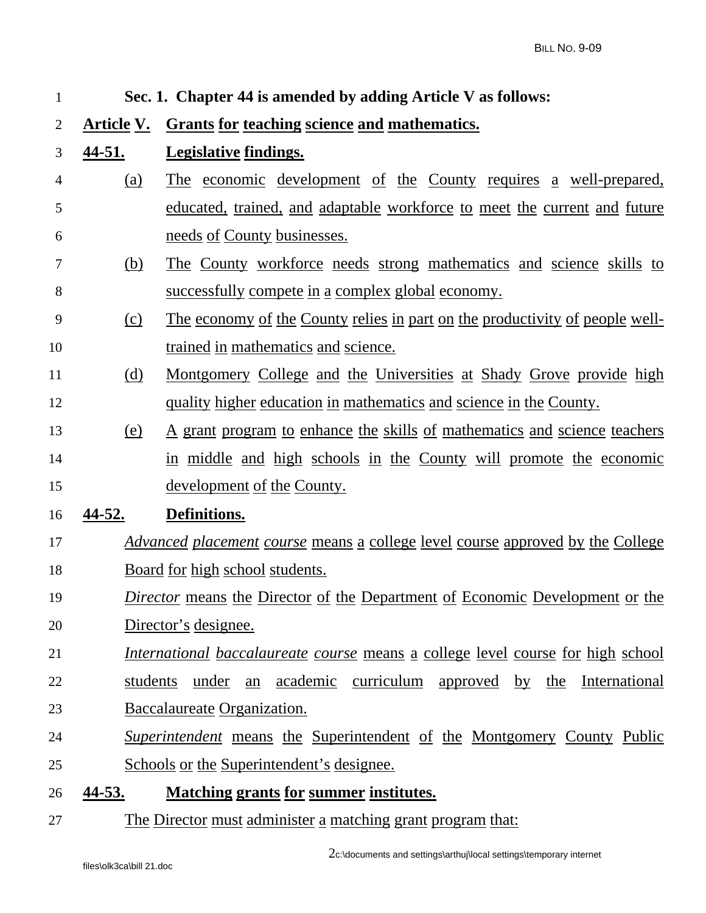| $\mathbf{1}$   | Sec. 1. Chapter 44 is amended by adding Article V as follows:                   |                                                                                       |  |
|----------------|---------------------------------------------------------------------------------|---------------------------------------------------------------------------------------|--|
| $\overline{2}$ | <b>Article V.</b>                                                               | <b>Grants for teaching science and mathematics.</b>                                   |  |
| 3              | <u>44-51.</u>                                                                   | <b>Legislative findings.</b>                                                          |  |
| 4              | (a)                                                                             | <u>The economic development of the County requires a well-prepared,</u>               |  |
| 5              |                                                                                 | educated, trained, and adaptable workforce to meet the current and future             |  |
| 6              |                                                                                 | <u>needs of County businesses.</u>                                                    |  |
| 7              | <u>(b)</u>                                                                      | The County workforce needs strong mathematics and science skills to                   |  |
| 8              |                                                                                 | <u>successfully compete in a complex global economy.</u>                              |  |
| 9              | (c)                                                                             | <u>The economy of the County relies in part on the productivity of people well-</u>   |  |
| 10             |                                                                                 | trained in mathematics and science.                                                   |  |
| 11             | <u>(d)</u>                                                                      | <u>Montgomery College and the Universities at Shady Grove provide high</u>            |  |
| 12             |                                                                                 | quality higher education in mathematics and science in the County.                    |  |
| 13             | <u>(e)</u>                                                                      | <u>A grant program to enhance the skills of mathematics and science teachers</u>      |  |
| 14             |                                                                                 | in middle and high schools in the County will promote the economic                    |  |
| 15             |                                                                                 | <u>development of the County.</u>                                                     |  |
| 16             | 44-52.                                                                          | Definitions.                                                                          |  |
| 17             |                                                                                 | <u>Advanced placement course means a college level course approved by the College</u> |  |
| 18             | Board for high school students.                                                 |                                                                                       |  |
| 19             | Director means the Director of the Department of Economic Development or the    |                                                                                       |  |
| 20             | Director's designee.                                                            |                                                                                       |  |
| 21             | International baccalaureate course means a college level course for high school |                                                                                       |  |
| 22             | students under an academic curriculum approved by the International             |                                                                                       |  |
| 23             | Baccalaureate Organization.                                                     |                                                                                       |  |
| 24             |                                                                                 | <i>Superintendent</i> means the Superintendent of the Montgomery County Public        |  |
| 25             |                                                                                 | <u>Schools or the Superintendent's designee.</u>                                      |  |
| 26             | <u>44-53.</u>                                                                   | <b>Matching grants for summer institutes.</b>                                         |  |

27 The Director must administer a matching grant program that: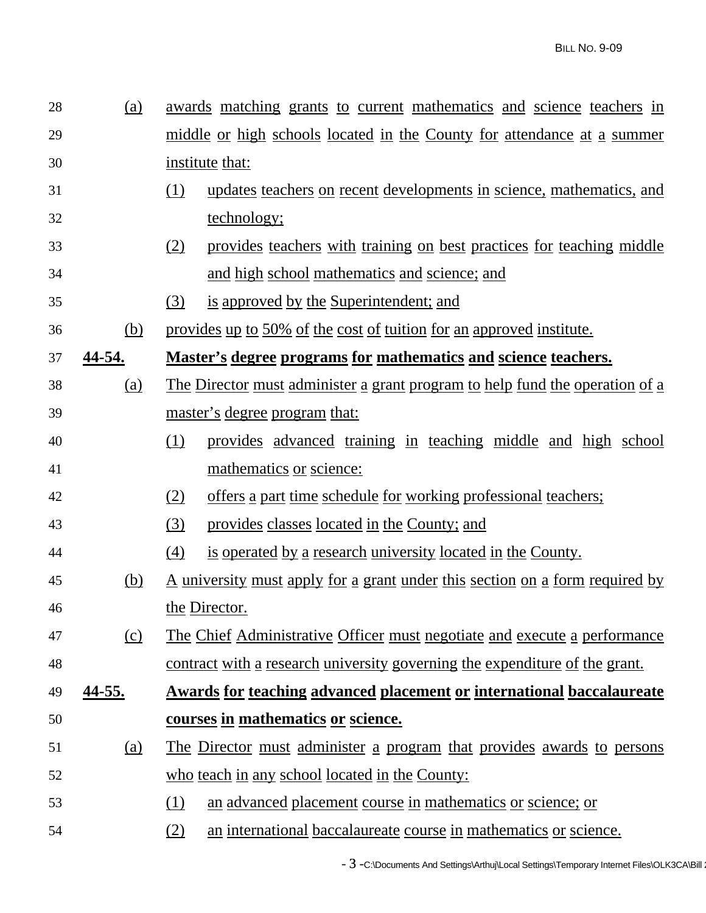| 28 | (a)           | awards matching grants to current mathematics and science teachers in               |  |  |
|----|---------------|-------------------------------------------------------------------------------------|--|--|
| 29 |               | middle or high schools located in the County for attendance at a summer             |  |  |
| 30 |               | institute that:                                                                     |  |  |
| 31 |               | updates teachers on recent developments in science, mathematics, and<br>(1)         |  |  |
| 32 |               | technology;                                                                         |  |  |
| 33 |               | provides teachers with training on best practices for teaching middle<br>(2)        |  |  |
| 34 |               | and high school mathematics and science; and                                        |  |  |
| 35 |               | is approved by the Superintendent; and<br>(3)                                       |  |  |
| 36 | (b)           | provides up to 50% of the cost of tuition for an approved institute.                |  |  |
| 37 | 44-54.        | Master's degree programs for mathematics and science teachers.                      |  |  |
| 38 | (a)           | <u>The Director must administer a grant program to help fund the operation of a</u> |  |  |
| 39 |               | <u>master's degree program that:</u>                                                |  |  |
| 40 |               | (1)<br>provides advanced training in teaching middle and high school                |  |  |
| 41 |               | mathematics or science:                                                             |  |  |
| 42 |               | <u>offers a part time schedule for working professional teachers;</u><br>(2)        |  |  |
| 43 |               | (3)<br>provides classes located in the County; and                                  |  |  |
| 44 |               | is operated by a research university located in the County.<br>(4)                  |  |  |
| 45 | <u>(b)</u>    | <u>A university must apply for a grant under this section on a form required by</u> |  |  |
| 46 |               | the Director.                                                                       |  |  |
| 47 | (c)           | <u>The Chief Administrative Officer must negotiate and execute a performance</u>    |  |  |
| 48 |               | contract with a research university governing the expenditure of the grant.         |  |  |
| 49 | <u>44-55.</u> | <b>Awards for teaching advanced placement or international baccalaureate</b>        |  |  |
| 50 |               | courses in mathematics or science.                                                  |  |  |
| 51 | <u>(a)</u>    | The Director must administer a program that provides awards to persons              |  |  |
| 52 |               | who teach in any school located in the County:                                      |  |  |
| 53 |               | (1)<br>an advanced placement course in mathematics or science; or                   |  |  |
| 54 |               | an international baccalaureate course in mathematics or science.<br>(2)             |  |  |